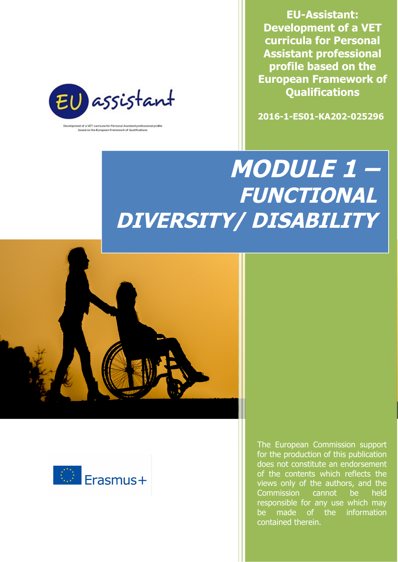**EU-Assistant: Development of a VET curricula for Personal Assistant professional profile based on the European Framework of Qualifications**

**2016-1-ES01-KA202-025296**



opment of a VET curricula for Personal A istant professional profil based on the European Framework of Qualifications

# **MODULE 1 – FUNCTIONAL DIVERSITY/ DISABILITY**





The European Commission support for the production of this publication does not constitute an endorsement of the contents which reflects the views only of the authors, and the Commission cannot be held responsible for any use which may be made of the information contained therein.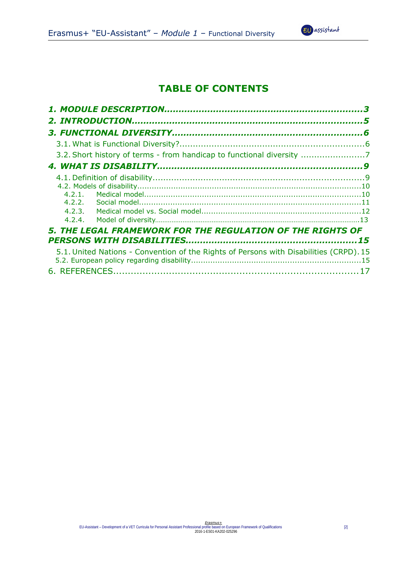# **TABLE OF CONTENTS**

| 3.2. Short history of terms - from handicap to functional diversity 7                  |  |
|----------------------------------------------------------------------------------------|--|
|                                                                                        |  |
|                                                                                        |  |
| 5. THE LEGAL FRAMEWORK FOR THE REGULATION OF THE RIGHTS OF                             |  |
| 5.1. United Nations - Convention of the Rights of Persons with Disabilities (CRPD). 15 |  |

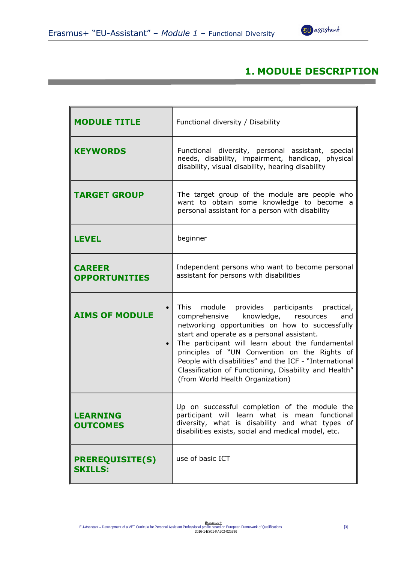

## **1. MODULE DESCRIPTION**

| <b>MODULE TITLE</b>                      | Functional diversity / Disability                                                                                                                                                                                                                                                                                                                                                                                                                         |
|------------------------------------------|-----------------------------------------------------------------------------------------------------------------------------------------------------------------------------------------------------------------------------------------------------------------------------------------------------------------------------------------------------------------------------------------------------------------------------------------------------------|
| <b>KEYWORDS</b>                          | Functional diversity, personal assistant, special<br>needs, disability, impairment, handicap, physical<br>disability, visual disability, hearing disability                                                                                                                                                                                                                                                                                               |
| <b>TARGET GROUP</b>                      | The target group of the module are people who<br>want to obtain some knowledge to become a<br>personal assistant for a person with disability                                                                                                                                                                                                                                                                                                             |
| <b>LEVEL</b>                             | beginner                                                                                                                                                                                                                                                                                                                                                                                                                                                  |
| <b>CAREER</b><br><b>OPPORTUNITIES</b>    | Independent persons who want to become personal<br>assistant for persons with disabilities                                                                                                                                                                                                                                                                                                                                                                |
| <b>AIMS OF MODULE</b><br>$\bullet$       | This module provides participants practical,<br>comprehensive<br>knowledge, resources<br>and<br>networking opportunities on how to successfully<br>start and operate as a personal assistant.<br>The participant will learn about the fundamental<br>principles of "UN Convention on the Rights of<br>People with disabilities" and the ICF - "International<br>Classification of Functioning, Disability and Health"<br>(from World Health Organization) |
| <b>LEARNING</b><br><b>OUTCOMES</b>       | Up on successful completion of the module the<br>participant will learn what is mean functional<br>diversity, what is disability and what types of<br>disabilities exists, social and medical model, etc.                                                                                                                                                                                                                                                 |
| <b>PREREQUISITE(S)</b><br><b>SKILLS:</b> | use of basic ICT                                                                                                                                                                                                                                                                                                                                                                                                                                          |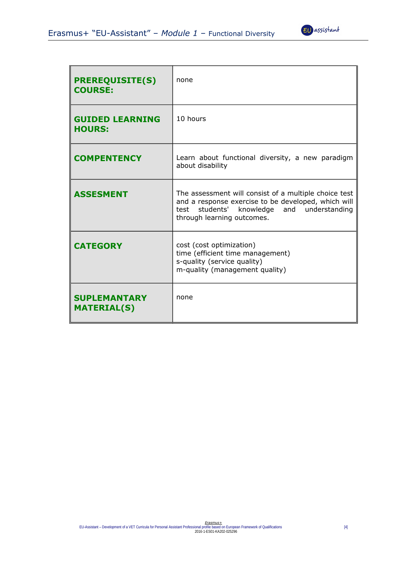

| <b>PREREQUISITE(S)</b><br><b>COURSE:</b>  | none                                                                                                                                                                                     |
|-------------------------------------------|------------------------------------------------------------------------------------------------------------------------------------------------------------------------------------------|
| <b>GUIDED LEARNING</b><br><b>HOURS:</b>   | 10 hours                                                                                                                                                                                 |
| <b>COMPENTENCY</b>                        | Learn about functional diversity, a new paradigm<br>about disability                                                                                                                     |
| <b>ASSESMENT</b>                          | The assessment will consist of a multiple choice test<br>and a response exercise to be developed, which will<br>test students' knowledge and understanding<br>through learning outcomes. |
| <b>CATEGORY</b>                           | cost (cost optimization)<br>time (efficient time management)<br>s-quality (service quality)<br>m-quality (management quality)                                                            |
| <b>SUPLEMANTARY</b><br><b>MATERIAL(S)</b> | none                                                                                                                                                                                     |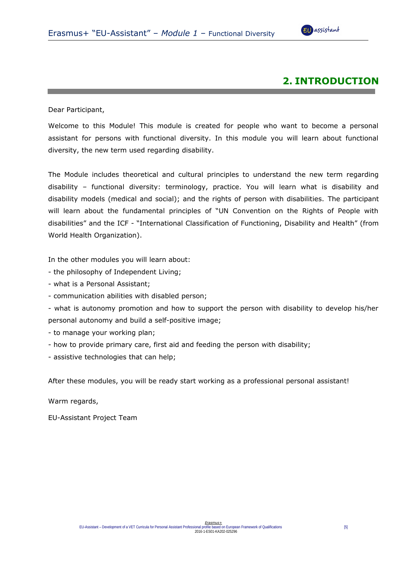

## **2. INTRODUCTION**

Dear Participant,

Welcome to this Module! This module is created for people who want to become a personal assistant for persons with functional diversity. In this module you will learn about functional diversity, the new term used regarding disability.

The Module includes theoretical and cultural principles to understand the new term regarding disability – functional diversity: terminology, practice. You will learn what is disability and disability models (medical and social); and the rights of person with disabilities. The participant will learn about the fundamental principles of "UN Convention on the Rights of People with disabilities" and the ICF - "International Classification of Functioning, Disability and Health" (from World Health Organization).

In the other modules you will learn about:

- the philosophy of Independent Living;
- what is a Personal Assistant;
- communication abilities with disabled person;

- what is autonomy promotion and how to support the person with disability to develop his/her personal autonomy and build a self-positive image;

- to manage your working plan;
- how to provide primary care, first aid and feeding the person with disability;
- assistive technologies that can help;

After these modules, you will be ready start working as a professional personal assistant!

Warm regards,

EU-Assistant Project Team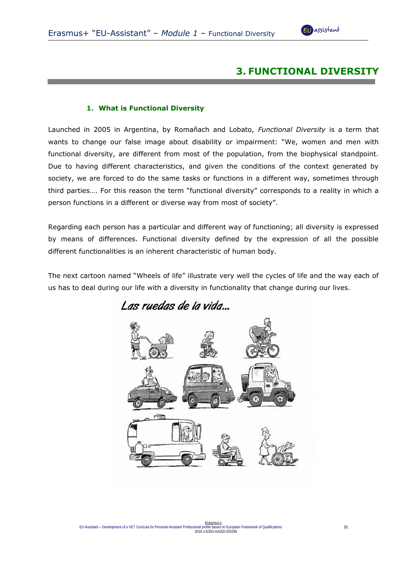

## **3. FUNCTIONAL DIVERSITY**

#### **1. What is Functional Diversity**

Launched in 2005 in Argentina, by Romañach and Lobato, *Functional Diversity* is a term that wants to change our false image about disability or impairment: "We, women and men with functional diversity, are different from most of the population, from the biophysical standpoint. Due to having different characteristics, and given the conditions of the context generated by society, we are forced to do the same tasks or functions in a different way, sometimes through third parties…. For this reason the term "functional diversity" corresponds to a reality in which a person functions in a different or diverse way from most of society".

Regarding each person has a particular and different way of functioning; all diversity is expressed by means of differences. Functional diversity defined by the expression of all the possible different functionalities is an inherent characteristic of human body.

The next cartoon named "Wheels of life" illustrate very well the cycles of life and the way each of us has to deal during our life with a diversity in functionality that change during our lives.

Las ruedas de la vida...

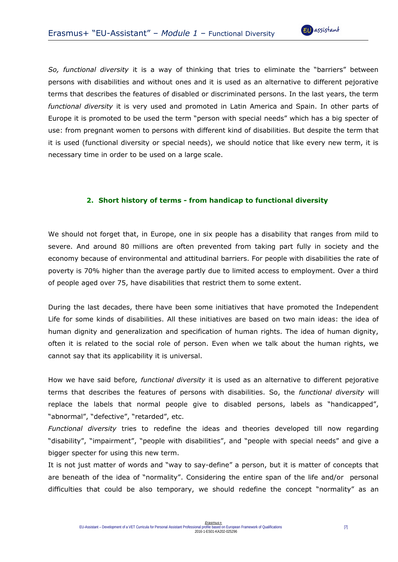

*So, functional diversity* it is a way of thinking that tries to eliminate the "barriers" between persons with disabilities and without ones and it is used as an alternative to different pejorative terms that describes the features of disabled or discriminated persons. In the last years, the term *functional diversity* it is very used and promoted in Latin America and Spain. In other parts of Europe it is promoted to be used the term "person with special needs" which has a big specter of use: from pregnant women to persons with different kind of disabilities. But despite the term that it is used (functional diversity or special needs), we should notice that like every new term, it is necessary time in order to be used on a large scale.

#### **2. Short history of terms - from handicap to functional diversity**

We should not forget that, in Europe, one in six people has a disability that ranges from mild to severe. And around 80 millions are often prevented from taking part fully in society and the economy because of environmental and attitudinal barriers. For people with disabilities the rate of poverty is 70% higher than the average partly due to limited access to employment. Over a third of people aged over 75, have disabilities that restrict them to some extent.

During the last decades, there have been some initiatives that have promoted the Independent Life for some kinds of disabilities. All these initiatives are based on two main ideas: the idea of human dignity and generalization and specification of human rights. The idea of human dignity, often it is related to the social role of person. Even when we talk about the human rights, we cannot say that its applicability it is universal.

How we have said before*, functional diversity* it is used as an alternative to different pejorative terms that describes the features of persons with disabilities. So, the *functional diversity* will replace the labels that normal people give to disabled persons, labels as "handicapped", "abnormal", "defective", "retarded", etc.

*Functional diversity* tries to redefine the ideas and theories developed till now regarding "disability", "impairment", "people with disabilities", and "people with special needs" and give a bigger specter for using this new term.

It is not just matter of words and "way to say-define" a person, but it is matter of concepts that are beneath of the idea of "normality". Considering the entire span of the life and/or personal difficulties that could be also temporary, we should redefine the concept "normality" as an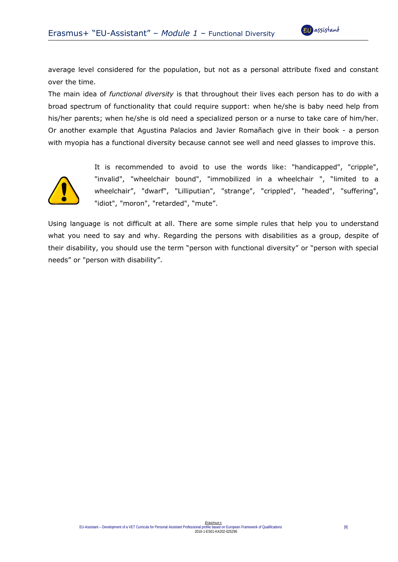average level considered for the population, but not as a personal attribute fixed and constant over the time.

The main idea of *functional diversity* is that throughout their lives each person has to do with a broad spectrum of functionality that could require support: when he/she is baby need help from his/her parents; when he/she is old need a specialized person or a nurse to take care of him/her. Or another example that Agustina Palacios and Javier Romañach give in their book - a person with myopia has a functional diversity because cannot see well and need glasses to improve this.



It is recommended to avoid to use the words like: "handicapped", "cripple", "invalid", "wheelchair bound", "immobilized in a wheelchair ", "limited to a wheelchair", "dwarf", "Lilliputian", "strange", "crippled", "headed", "suffering", "idiot", "moron", "retarded", "mute".

Using language is not difficult at all. There are some simple rules that help you to understand what you need to say and why. Regarding the persons with disabilities as a group, despite of their disability, you should use the term "person with functional diversity" or "person with special needs" or "person with disability".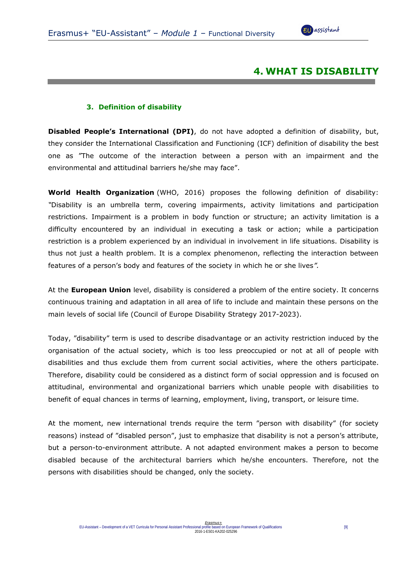

## **4. WHAT IS DISABILITY**

#### **3. Definition of disability**

**Disabled People's International (DPI)**, do not have adopted a definition of disability, but, they consider the International Classification and Functioning (ICF) definition of disability the best one as "The outcome of the interaction between a person with an impairment and the environmental and attitudinal barriers he/she may face".

**World Health Organization** (WHO, 2016) proposes the following definition of disability: *"*Disability is an umbrella term, covering impairments, activity limitations and participation restrictions. Impairment is a problem in body function or structure; an activity limitation is a difficulty encountered by an individual in executing a task or action; while a participation restriction is a problem experienced by an individual in involvement in life situations. Disability is thus not just a health problem. It is a complex phenomenon, reflecting the interaction between features of a person's body and features of the society in which he or she lives*".*

At the **European Union** level, disability is considered a problem of the entire society. It concerns continuous training and adaptation in all area of life to include and maintain these persons on the main levels of social life (Council of Europe Disability Strategy 2017-2023).

Today, "disability" term is used to describe disadvantage or an activity restriction induced by the organisation of the actual society, which is too less preoccupied or not at all of people with disabilities and thus exclude them from current social activities, where the others participate. Therefore, disability could be considered as a distinct form of social oppression and is focused on attitudinal, environmental and organizational barriers which unable people with disabilities to benefit of equal chances in terms of learning, employment, living, transport, or leisure time.

At the moment, new international trends require the term "person with disability" (for society reasons) instead of "disabled person", just to emphasize that disability is not a person's attribute, but a person-to-environment attribute. A not adapted environment makes a person to become disabled because of the architectural barriers which he/she encounters. Therefore, not the persons with disabilities should be changed, only the society.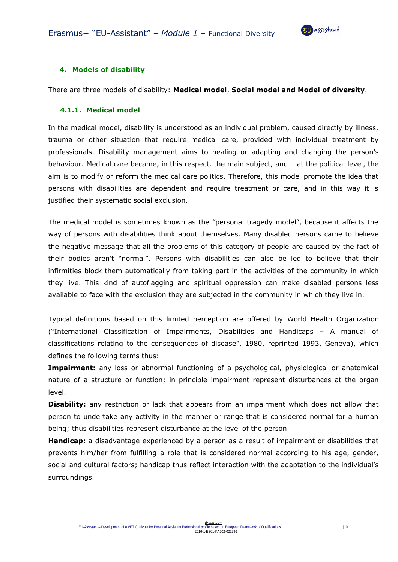

#### **4. Models of disability**

There are three models of disability: **Medical model**, **Social model and Model of diversity**.

#### **4.1.1. Medical model**

In the medical model, disability is understood as an individual problem, caused directly by illness, trauma or other situation that require medical care, provided with individual treatment by professionals. Disability management aims to healing or adapting and changing the person's behaviour. Medical care became, in this respect, the main subject, and – at the political level, the aim is to modify or reform the medical care politics. Therefore, this model promote the idea that persons with disabilities are dependent and require treatment or care, and in this way it is justified their systematic social exclusion.

The medical model is sometimes known as the "personal tragedy model", because it affects the way of persons with disabilities think about themselves. Many disabled persons came to believe the negative message that all the problems of this category of people are caused by the fact of their bodies aren't "normal". Persons with disabilities can also be led to believe that their infirmities block them automatically from taking part in the activities of the community in which they live. This kind of autoflagging and spiritual oppression can make disabled persons less available to face with the exclusion they are subjected in the community in which they live in.

Typical definitions based on this limited perception are offered by World Health Organization ("International Classification of Impairments, Disabilities and Handicaps – A manual of classifications relating to the consequences of disease", 1980, reprinted 1993, Geneva), which defines the following terms thus:

**Impairment:** any loss or abnormal functioning of a psychological, physiological or anatomical nature of a structure or function; in principle impairment represent disturbances at the organ level.

**Disability:** any restriction or lack that appears from an impairment which does not allow that person to undertake any activity in the manner or range that is considered normal for a human being; thus disabilities represent disturbance at the level of the person.

**Handicap:** a disadvantage experienced by a person as a result of impairment or disabilities that prevents him/her from fulfilling a role that is considered normal according to his age, gender, social and cultural factors; handicap thus reflect interaction with the adaptation to the individual's surroundings.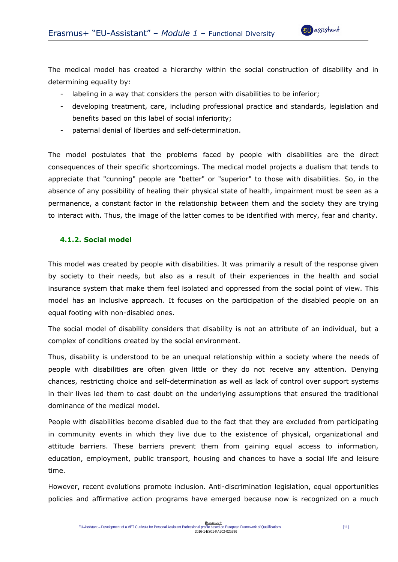The medical model has created a hierarchy within the social construction of disability and in determining equality by:

- labeling in a way that considers the person with disabilities to be inferior;
- developing treatment, care, including professional practice and standards, legislation and benefits based on this label of social inferiority;
- paternal denial of liberties and self-determination.

The model postulates that the problems faced by people with disabilities are the direct consequences of their specific shortcomings. The medical model projects a dualism that tends to appreciate that "cunning" people are "better" or "superior" to those with disabilities. So, in the absence of any possibility of healing their physical state of health, impairment must be seen as a permanence, a constant factor in the relationship between them and the society they are trying to interact with. Thus, the image of the latter comes to be identified with mercy, fear and charity.

#### **4.1.2. Social model**

This model was created by people with disabilities. It was primarily a result of the response given by society to their needs, but also as a result of their experiences in the health and social insurance system that make them feel isolated and oppressed from the social point of view. This model has an inclusive approach. It focuses on the participation of the disabled people on an equal footing with non-disabled ones.

The social model of disability considers that disability is not an attribute of an individual, but a complex of conditions created by the social environment.

Thus, disability is understood to be an unequal relationship within a society where the needs of people with disabilities are often given little or they do not receive any attention. Denying chances, restricting choice and self-determination as well as lack of control over support systems in their lives led them to cast doubt on the underlying assumptions that ensured the traditional dominance of the medical model.

People with disabilities become disabled due to the fact that they are excluded from participating in community events in which they live due to the existence of physical, organizational and attitude barriers. These barriers prevent them from gaining equal access to information, education, employment, public transport, housing and chances to have a social life and leisure time.

However, recent evolutions promote inclusion. Anti-discrimination legislation, equal opportunities policies and affirmative action programs have emerged because now is recognized on a much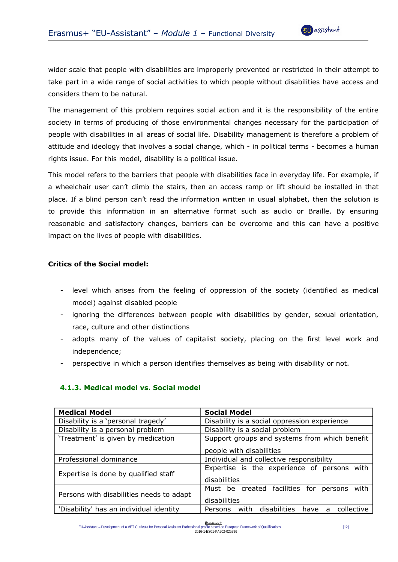wider scale that people with disabilities are improperly prevented or restricted in their attempt to take part in a wide range of social activities to which people without disabilities have access and considers them to be natural.

The management of this problem requires social action and it is the responsibility of the entire society in terms of producing of those environmental changes necessary for the participation of people with disabilities in all areas of social life. Disability management is therefore a problem of attitude and ideology that involves a social change, which - in political terms - becomes a human rights issue. For this model, disability is a political issue.

This model refers to the barriers that people with disabilities face in everyday life. For example, if a wheelchair user can't climb the stairs, then an access ramp or lift should be installed in that place. If a blind person can't read the information written in usual alphabet, then the solution is to provide this information in an alternative format such as audio or Braille. By ensuring reasonable and satisfactory changes, barriers can be overcome and this can have a positive impact on the lives of people with disabilities.

#### **Critics of the Social model:**

- level which arises from the feeling of oppression of the society (identified as medical model) against disabled people
- ignoring the differences between people with disabilities by gender, sexual orientation, race, culture and other distinctions
- adopts many of the values of capitalist society, placing on the first level work and independence;
- perspective in which a person identifies themselves as being with disability or not.

| <b>Medical Model</b>                     | <b>Social Model</b>                                               |
|------------------------------------------|-------------------------------------------------------------------|
| Disability is a 'personal tragedy'       | Disability is a social oppression experience                      |
| Disability is a personal problem         | Disability is a social problem                                    |
| 'Treatment' is given by medication       | Support groups and systems from which benefit                     |
|                                          | people with disabilities                                          |
| Professional dominance                   | Individual and collective responsibility                          |
| Expertise is done by qualified staff     | Expertise is the experience of persons with<br>disabilities       |
| Persons with disabilities needs to adapt | Must be created facilities for<br>with<br>persons<br>disabilities |
| 'Disability' has an individual identity  | disabilities<br>collective<br>with<br>Persons<br>have<br>a        |

#### **4.1.3. Medical model vs. Social model**

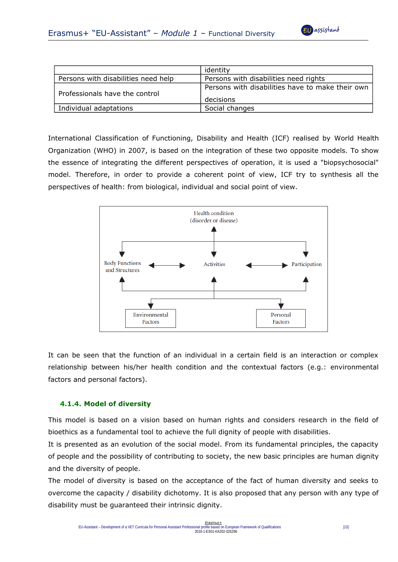

|                                     | identity                                                      |
|-------------------------------------|---------------------------------------------------------------|
| Persons with disabilities need help | Persons with disabilities need rights                         |
| Professionals have the control      | Persons with disabilities have to make their own<br>decisions |
| Individual adaptations              | Social changes                                                |

International Classification of Functioning, Disability and Health (ICF) realised by World Health Organization (WHO) in 2007, is based on the integration of these two opposite models. To show the essence of integrating the different perspectives of operation, it is used a "biopsychosocial" model. Therefore, in order to provide a coherent point of view, ICF try to synthesis all the perspectives of health: from biological, individual and social point of view.



It can be seen that the function of an individual in a certain field is an interaction or complex relationship between his/her health condition and the contextual factors (e.g.: environmental factors and personal factors).

#### **4.1.4. Model of diversity**

This model is based on a vision based on human rights and considers research in the field of bioethics as a fundamental tool to achieve the full dignity of people with disabilities.

It is presented as an evolution of the social model. From its fundamental principles, the capacity of people and the possibility of contributing to society, the new basic principles are human dignity and the diversity of people.

The model of diversity is based on the acceptance of the fact of human diversity and seeks to overcome the capacity / disability dichotomy. It is also proposed that any person with any type of disability must be guaranteed their intrinsic dignity.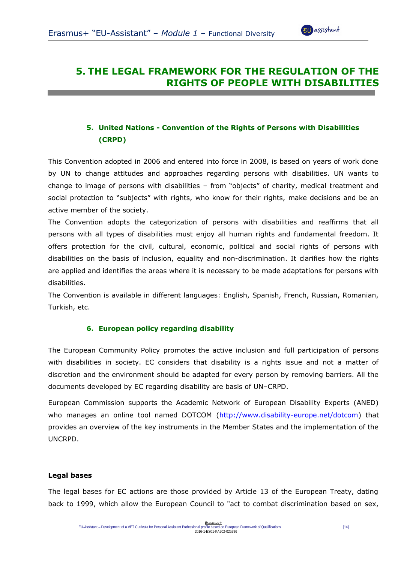

## **5. THE LEGAL FRAMEWORK FOR THE REGULATION OF THE RIGHTS OF PEOPLE WITH DISABILITIES**

## **5. United Nations - Convention of the Rights of Persons with Disabilities (CRPD)**

This Convention adopted in 2006 and entered into force in 2008, is based on years of work done by UN to change attitudes and approaches regarding persons with disabilities. UN wants to change to image of persons with disabilities – from "objects" of charity, medical treatment and social protection to "subjects" with rights, who know for their rights, make decisions and be an active member of the society.

The Convention adopts the categorization of persons with disabilities and reaffirms that all persons with all types of disabilities must enjoy all human rights and fundamental freedom. It offers protection for the civil, cultural, economic, political and social rights of persons with disabilities on the basis of inclusion, equality and non-discrimination. It clarifies how the rights are applied and identifies the areas where it is necessary to be made adaptations for persons with disabilities.

The Convention is available in different languages: English, Spanish, French, Russian, Romanian, Turkish, etc.

#### **6. European policy regarding disability**

The European Community Policy promotes the active inclusion and full participation of persons with disabilities in society. EC considers that disability is a rights issue and not a matter of discretion and the environment should be adapted for every person by removing barriers. All the documents developed by EC regarding disability are basis of UN–CRPD.

European Commission supports the Academic Network of European Disability Experts (ANED) who manages an online tool named DOTCOM [\(http://www.disability-europe.net/dotcom\)](http://www.disability-europe.net/dotcom) that provides an overview of the key instruments in the Member States and the implementation of the UNCRPD.

#### **Legal bases**

The legal bases for EC actions are those provided by Article 13 of the European Treaty, dating back to 1999, which allow the European Council to "act to combat discrimination based on sex,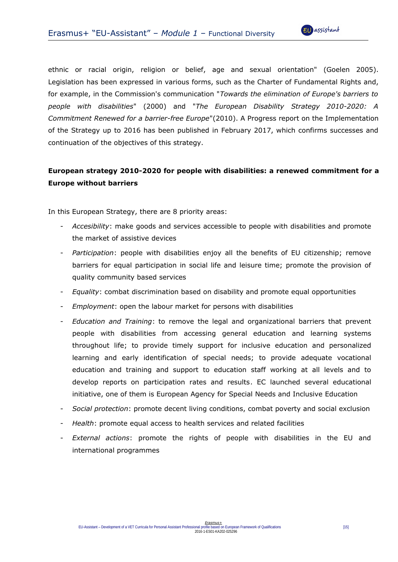

ethnic or racial origin, religion or belief, age and sexual orientation" (Goelen 2005). Legislation has been expressed in various forms, such as the Charter of Fundamental Rights and, for example, in the Commission's communication "*Towards the elimination of Europe's barriers to people with disabilities*" (2000) and "*The European Disability Strategy 2010-2020: A Commitment Renewed for a barrier-free Europe*"(2010). A Progress report on the Implementation of the Strategy up to 2016 has been published in February 2017, which confirms successes and continuation of the objectives of this strategy.

## **European strategy 2010-2020 for people with disabilities: a renewed commitment for a Europe without barriers**

In this European Strategy, there are 8 priority areas:

- *Accesibility*: make goods and services accessible to people with disabilities and promote the market of assistive devices
- Participation: people with disabilities enjoy all the benefits of EU citizenship; remove barriers for equal participation in social life and leisure time; promote the provision of quality community based services
- *Equality*: combat discrimination based on disability and promote equal opportunities
- *Employment*: open the labour market for persons with disabilities
- *Education and Training*: to remove the legal and organizational barriers that prevent people with disabilities from accessing general education and learning systems throughout life; to provide timely support for inclusive education and personalized learning and early identification of special needs; to provide adequate vocational education and training and support to education staff working at all levels and to develop reports on participation rates and results. EC launched several educational initiative, one of them is European Agency for Special Needs and Inclusive Education
- *Social protection*: promote decent living conditions, combat poverty and social exclusion
- *Health*: promote equal access to health services and related facilities
- *External actions*: promote the rights of people with disabilities in the EU and international programmes